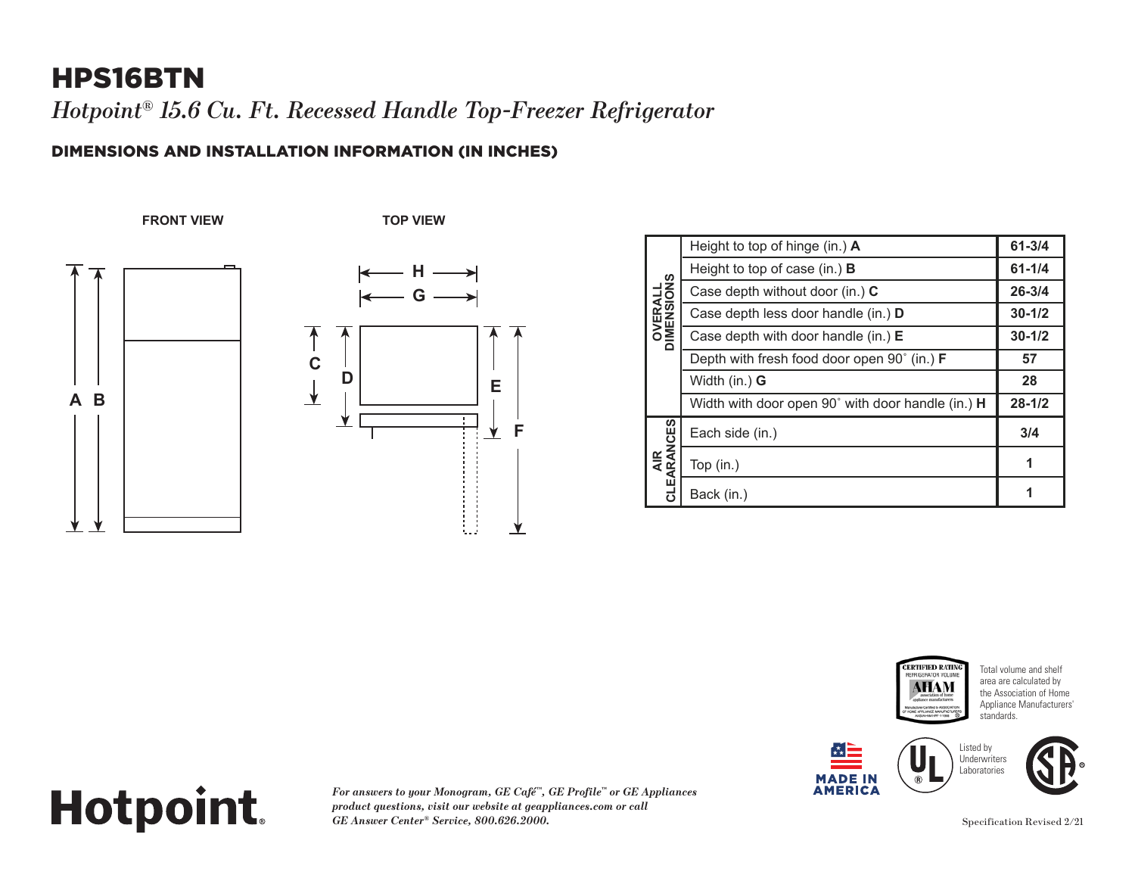## HPS16BTN

*Hotpoint® 15.6 Cu. Ft. Recessed Handle Top-Freezer Refrigerator*

### DIMENSIONS AND INSTALLATION INFORMATION (IN INCHES)

**FRONT VIEW TOP VIEW**





| <b>OVERALL</b><br><b>IMENSIONS</b><br>۵ | Height to top of hinge (in.) A                    | $61 - 3/4$ |
|-----------------------------------------|---------------------------------------------------|------------|
|                                         | Height to top of case (in.) $\bf{B}$              | $61 - 1/4$ |
|                                         | Case depth without door (in.) C                   | $26 - 3/4$ |
|                                         | Case depth less door handle (in.) D               | $30 - 1/2$ |
|                                         | Case depth with door handle (in.) $E$             | $30 - 1/2$ |
|                                         | Depth with fresh food door open 90° (in.) F       | 57         |
|                                         | Width (in.) <b>G</b>                              | 28         |
|                                         | Width with door open 90° with door handle (in.) H | $28 - 1/2$ |
| AIR<br>CLEARANCES                       | Each side (in.)                                   | 3/4        |
|                                         | Top (in.)                                         |            |
|                                         | Back (in.)                                        |            |











**Underwriters** 



# **Hotpoint. CLEARANCES**

*For answers to your Monogram, GE Café™, GE Profile™ or GE Appliances product questions, visit our website at geappliances.com or call*  **1***GE Answer Center® Service, 800.626.2000.*

Specification Revised 2/21